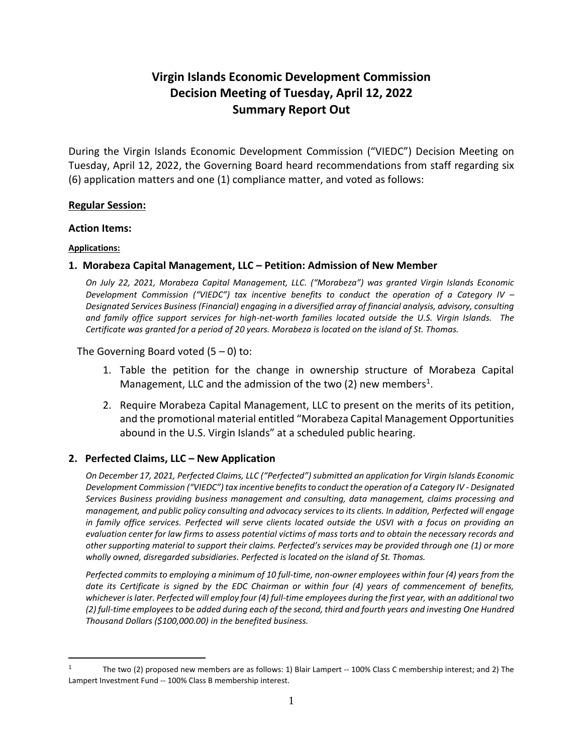# **Virgin Islands Economic Development Commission Decision Meeting of Tuesday, April 12, 2022 Summary Report Out**

During the Virgin Islands Economic Development Commission ("VIEDC") Decision Meeting on Tuesday, April 12, 2022, the Governing Board heard recommendations from staff regarding six (6) application matters and one (1) compliance matter, and voted as follows:

### **Regular Session:**

#### **Action Items:**

### **Applications:**

 $\overline{a}$ 

### **1. Morabeza Capital Management, LLC – Petition: Admission of New Member**

*On July 22, 2021, Morabeza Capital Management, LLC. ("Morabeza") was granted Virgin Islands Economic Development Commission ("VIEDC") tax incentive benefits to conduct the operation of a Category IV – Designated Services Business (Financial) engaging in a diversified array of financial analysis, advisory, consulting and family office support services for high-net-worth families located outside the U.S. Virgin Islands. The Certificate was granted for a period of 20 years. Morabeza is located on the island of St. Thomas.*

The Governing Board voted  $(5 - 0)$  to:

- 1. Table the petition for the change in ownership structure of Morabeza Capital Management, LLC and the admission of the two (2) new members<sup>1</sup>.
- 2. Require Morabeza Capital Management, LLC to present on the merits of its petition, and the promotional material entitled "Morabeza Capital Management Opportunities abound in the U.S. Virgin Islands" at a scheduled public hearing.

### **2. Perfected Claims, LLC – New Application**

*On December 17, 2021, Perfected Claims, LLC ("Perfected") submitted an application for Virgin Islands Economic Development Commission ("VIEDC") tax incentive benefits to conduct the operation of a Category IV - Designated Services Business providing business management and consulting, data management, claims processing and management, and public policy consulting and advocacy services to its clients. In addition, Perfected will engage in family office services. Perfected will serve clients located outside the USVI with a focus on providing an evaluation center for law firms to assess potential victims of mass torts and to obtain the necessary records and other supporting material to support their claims. Perfected's services may be provided through one (1) or more wholly owned, disregarded subsidiaries. Perfected is located on the island of St. Thomas.*

*Perfected commits to employing a minimum of 10 full-time, non-owner employees within four (4) years from the date its Certificate is signed by the EDC Chairman or within four (4) years of commencement of benefits, whichever is later. Perfected will employ four (4) full-time employees during the first year, with an additional two (2) full-time employees to be added during each of the second, third and fourth years and investing One Hundred Thousand Dollars (\$100,000.00) in the benefited business.*

<sup>1</sup> The two (2) proposed new members are as follows: 1) Blair Lampert -- 100% Class C membership interest; and 2) The Lampert Investment Fund -- 100% Class B membership interest.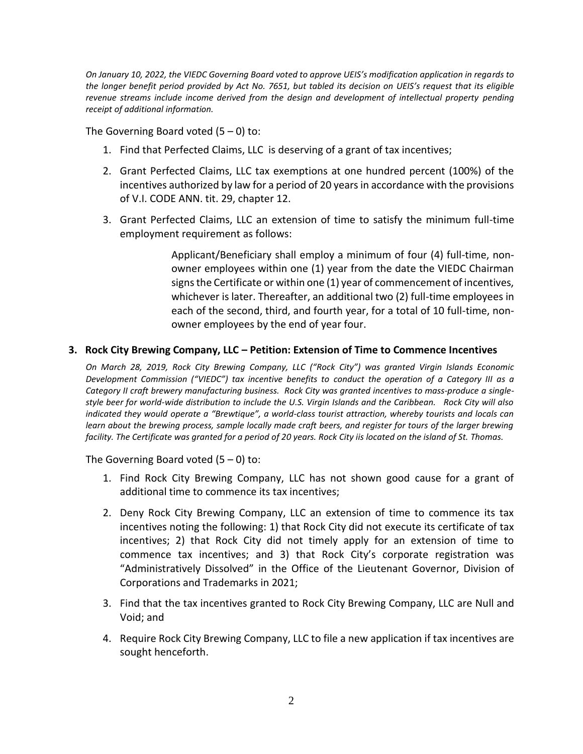*On January 10, 2022, the VIEDC Governing Board voted to approve UEIS's modification application in regards to the longer benefit period provided by Act No. 7651, but tabled its decision on UEIS's request that its eligible revenue streams include income derived from the design and development of intellectual property pending receipt of additional information.*

The Governing Board voted  $(5 - 0)$  to:

- 1. Find that Perfected Claims, LLC is deserving of a grant of tax incentives;
- 2. Grant Perfected Claims, LLC tax exemptions at one hundred percent (100%) of the incentives authorized by law for a period of 20 years in accordance with the provisions of V.I. CODE ANN. tit. 29, chapter 12.
- 3. Grant Perfected Claims, LLC an extension of time to satisfy the minimum full-time employment requirement as follows:

Applicant/Beneficiary shall employ a minimum of four (4) full-time, nonowner employees within one (1) year from the date the VIEDC Chairman signs the Certificate or within one (1) year of commencement of incentives, whichever is later. Thereafter, an additional two (2) full-time employees in each of the second, third, and fourth year, for a total of 10 full-time, nonowner employees by the end of year four.

## **3. Rock City Brewing Company, LLC – Petition: Extension of Time to Commence Incentives**

*On March 28, 2019, Rock City Brewing Company, LLC ("Rock City") was granted Virgin Islands Economic Development Commission ("VIEDC") tax incentive benefits to conduct the operation of a Category III as a Category II craft brewery manufacturing business. Rock City was granted incentives to mass-produce a singlestyle beer for world-wide distribution to include the U.S. Virgin Islands and the Caribbean. Rock City will also indicated they would operate a "Brewtique", a world-class tourist attraction, whereby tourists and locals can learn about the brewing process, sample locally made craft beers, and register for tours of the larger brewing facility. The Certificate was granted for a period of 20 years. Rock City iis located on the island of St. Thomas.*

The Governing Board voted  $(5 - 0)$  to:

- 1. Find Rock City Brewing Company, LLC has not shown good cause for a grant of additional time to commence its tax incentives;
- 2. Deny Rock City Brewing Company, LLC an extension of time to commence its tax incentives noting the following: 1) that Rock City did not execute its certificate of tax incentives; 2) that Rock City did not timely apply for an extension of time to commence tax incentives; and 3) that Rock City's corporate registration was "Administratively Dissolved" in the Office of the Lieutenant Governor, Division of Corporations and Trademarks in 2021;
- 3. Find that the tax incentives granted to Rock City Brewing Company, LLC are Null and Void; and
- 4. Require Rock City Brewing Company, LLC to file a new application if tax incentives are sought henceforth.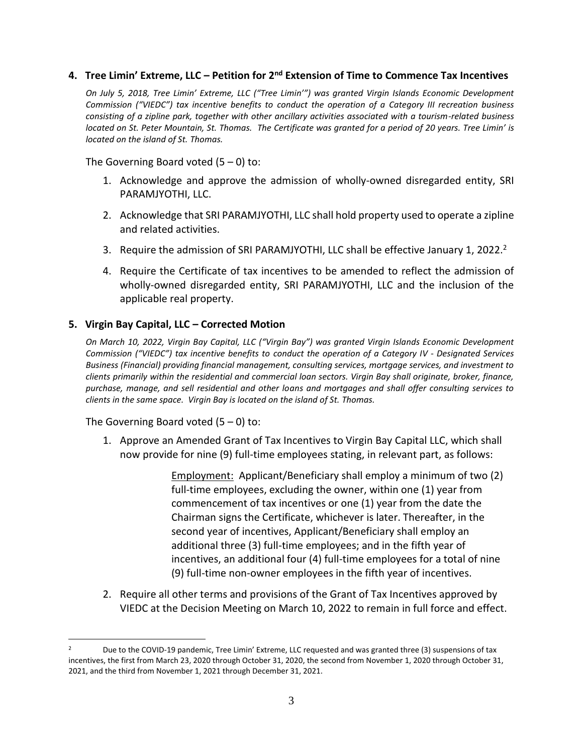### **4. Tree Limin' Extreme, LLC – Petition for 2nd Extension of Time to Commence Tax Incentives**

*On July 5, 2018, Tree Limin' Extreme, LLC ("Tree Limin'") was granted Virgin Islands Economic Development Commission ("VIEDC") tax incentive benefits to conduct the operation of a Category III recreation business consisting of a zipline park, together with other ancillary activities associated with a tourism-related business located on St. Peter Mountain, St. Thomas. The Certificate was granted for a period of 20 years. Tree Limin' is located on the island of St. Thomas.*

The Governing Board voted  $(5 - 0)$  to:

- 1. Acknowledge and approve the admission of wholly-owned disregarded entity, SRI PARAMJYOTHI, LLC.
- 2. Acknowledge that SRI PARAMJYOTHI, LLC shall hold property used to operate a zipline and related activities.
- 3. Require the admission of SRI PARAMJYOTHI, LLC shall be effective January 1, 2022.<sup>2</sup>
- 4. Require the Certificate of tax incentives to be amended to reflect the admission of wholly-owned disregarded entity, SRI PARAMJYOTHI, LLC and the inclusion of the applicable real property.

### **5. Virgin Bay Capital, LLC – Corrected Motion**

*On March 10, 2022, Virgin Bay Capital, LLC ("Virgin Bay") was granted Virgin Islands Economic Development Commission ("VIEDC") tax incentive benefits to conduct the operation of a Category IV - Designated Services Business (Financial) providing financial management, consulting services, mortgage services, and investment to clients primarily within the residential and commercial loan sectors. Virgin Bay shall originate, broker, finance, purchase, manage, and sell residential and other loans and mortgages and shall offer consulting services to clients in the same space. Virgin Bay is located on the island of St. Thomas.*

The Governing Board voted  $(5 - 0)$  to:

 $\overline{a}$ 

1. Approve an Amended Grant of Tax Incentives to Virgin Bay Capital LLC, which shall now provide for nine (9) full-time employees stating, in relevant part, as follows:

> Employment: Applicant/Beneficiary shall employ a minimum of two (2) full-time employees, excluding the owner, within one (1) year from commencement of tax incentives or one (1) year from the date the Chairman signs the Certificate, whichever is later. Thereafter, in the second year of incentives, Applicant/Beneficiary shall employ an additional three (3) full-time employees; and in the fifth year of incentives, an additional four (4) full-time employees for a total of nine (9) full-time non-owner employees in the fifth year of incentives.

2. Require all other terms and provisions of the Grant of Tax Incentives approved by VIEDC at the Decision Meeting on March 10, 2022 to remain in full force and effect.

Due to the COVID-19 pandemic, Tree Limin' Extreme, LLC requested and was granted three (3) suspensions of tax incentives, the first from March 23, 2020 through October 31, 2020, the second from November 1, 2020 through October 31, 2021, and the third from November 1, 2021 through December 31, 2021.